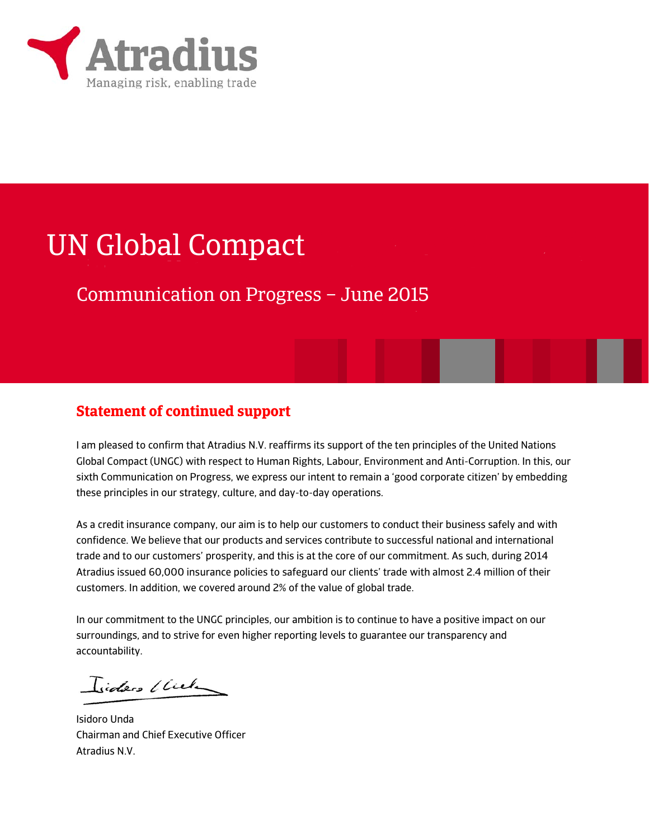

# UN Global Compact

## Communication on Progress – June 2015

### **Statement of continued support**

I am pleased to confirm that Atradius N.V. reaffirms its support of the ten principles of the United Nations Global Compact (UNGC) with respect to Human Rights, Labour, Environment and Anti-Corruption. In this, our sixth Communication on Progress, we express our intent to remain a 'good corporate citizen' by embedding these principles in our strategy, culture, and day-to-day operations.

As a credit insurance company, our aim is to help our customers to conduct their business safely and with confidence. We believe that our products and services contribute to successful national and international trade and to our customers' prosperity, and this is at the core of our commitment. As such, during 2014 Atradius issued 60,000 insurance policies to safeguard our clients' trade with almost 2.4 million of their customers. In addition, we covered around 2% of the value of global trade.

In our commitment to the UNGC principles, our ambition is to continue to have a positive impact on our surroundings, and to strive for even higher reporting levels to guarantee our transparency and accountability.

Isiders (Cule

Isidoro Unda Chairman and Chief Executive Officer Atradius N.V.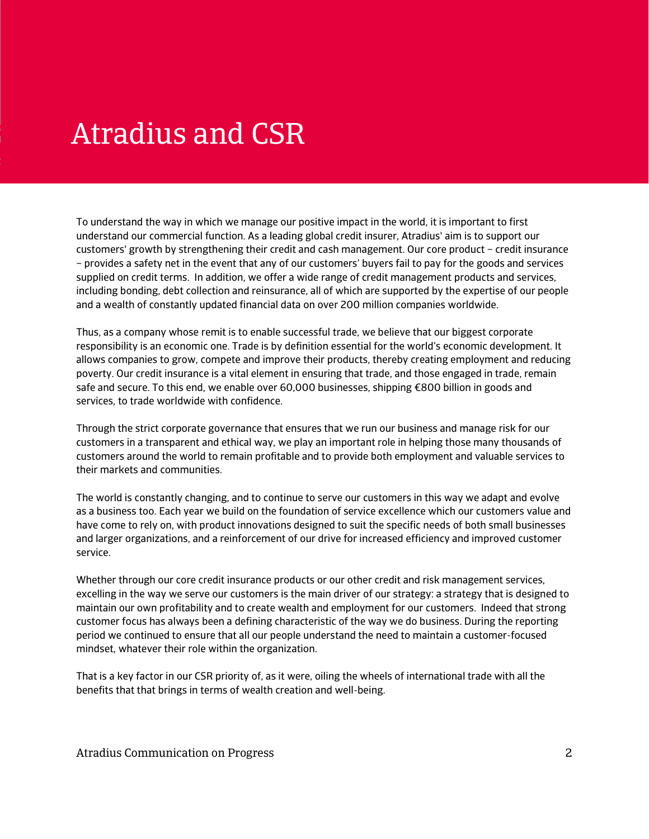## Atradius and CSR

To understand the way in which we manage our positive impact in the world, it is important to first understand our commercial function. As a leading global credit insurer, Atradius' aim is to support our customers' growth by strengthening their credit and cash management. Our core product – credit insurance – provides a safety net in the event that any of our customers' buyers fail to pay for the goods and services supplied on credit terms. In addition, we offer a wide range of credit management products and services, including bonding, debt collection and reinsurance, all of which are supported by the expertise of our people and a wealth of constantly updated financial data on over 200 million companies worldwide.

Thus, as a company whose remit is to enable successful trade, we believe that our biggest corporate responsibility is an economic one. Trade is by definition essential for the world's economic development. It allows companies to grow, compete and improve their products, thereby creating employment and reducing poverty. Our credit insurance is a vital element in ensuring that trade, and those engaged in trade, remain safe and secure. To this end, we enable over 60,000 businesses, shipping €800 billion in goods and services, to trade worldwide with confidence.

Through the strict corporate governance that ensures that we run our business and manage risk for our customers in a transparent and ethical way, we play an important role in helping those many thousands of customers around the world to remain profitable and to provide both employment and valuable services to their markets and communities.

The world is constantly changing, and to continue to serve our customers in this way we adapt and evolve as a business too. Each year we build on the foundation of service excellence which our customers value and have come to rely on, with product innovations designed to suit the specific needs of both small businesses and larger organizations, and a reinforcement of our drive for increased efficiency and improved customer service.

Whether through our core credit insurance products or our other credit and risk management services, excelling in the way we serve our customers is the main driver of our strategy: a strategy that is designed to maintain our own profitability and to create wealth and employment for our customers. Indeed that strong customer focus has always been a defining characteristic of the way we do business. During the reporting period we continued to ensure that all our people understand the need to maintain a customer-focused mindset, whatever their role within the organization.

That is a key factor in our CSR priority of, as it were, oiling the wheels of international trade with all the benefits that that brings in terms of wealth creation and well-being.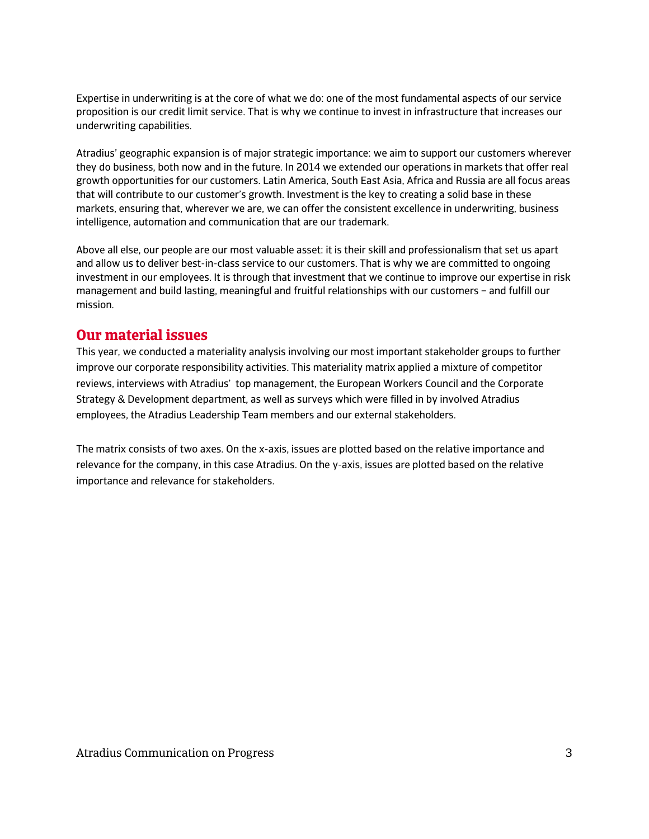Expertise in underwriting is at the core of what we do: one of the most fundamental aspects of our service proposition is our credit limit service. That is why we continue to invest in infrastructure that increases our underwriting capabilities.

Atradius' geographic expansion is of major strategic importance: we aim to support our customers wherever they do business, both now and in the future. In 2014 we extended our operations in markets that offer real growth opportunities for our customers. Latin America, South East Asia, Africa and Russia are all focus areas that will contribute to our customer's growth. Investment is the key to creating a solid base in these markets, ensuring that, wherever we are, we can offer the consistent excellence in underwriting, business intelligence, automation and communication that are our trademark.

Above all else, our people are our most valuable asset: it is their skill and professionalism that set us apart and allow us to deliver best-in-class service to our customers. That is why we are committed to ongoing investment in our employees. It is through that investment that we continue to improve our expertise in risk management and build lasting, meaningful and fruitful relationships with our customers – and fulfill our mission.

#### **Our material issues**

This year, we conducted a materiality analysis involving our most important stakeholder groups to further improve our corporate responsibility activities. This materiality matrix applied a mixture of competitor reviews, interviews with Atradius' top management, the European Workers Council and the Corporate Strategy & Development department, as well as surveys which were filled in by involved Atradius employees, the Atradius Leadership Team members and our external stakeholders.

The matrix consists of two axes. On the x-axis, issues are plotted based on the relative importance and relevance for the company, in this case Atradius. On the y-axis, issues are plotted based on the relative importance and relevance for stakeholders.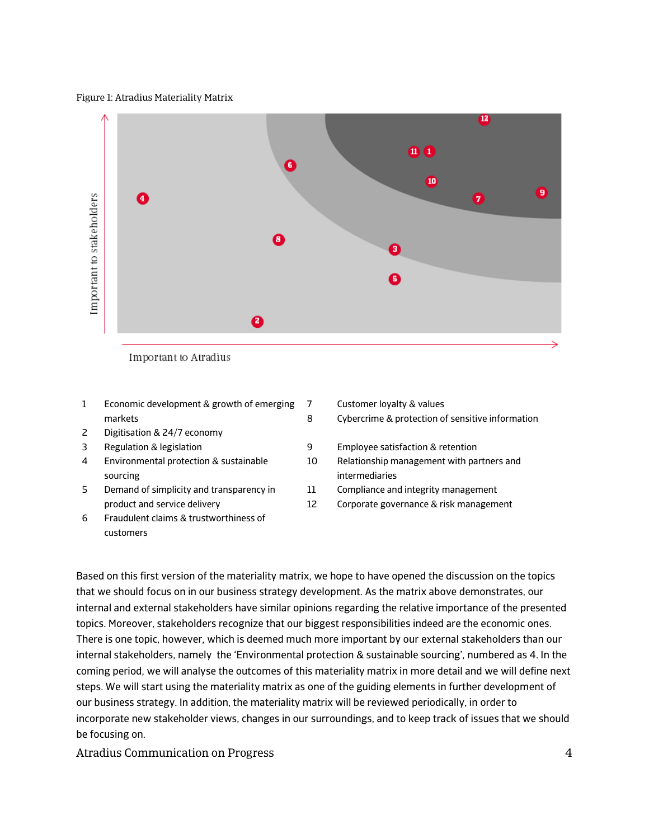#### Figure 1: Atradius Materiality Matrix



- 
- 1 Economic development & growth of emerging markets 7 8
- 2 Digitisation & 24/7 economy
- 
- 4 Environmental protection & sustainable sourcing
- 5 Demand of simplicity and transparency in product and service delivery
- 6 Fraudulent claims & trustworthiness of customers
- Customer loyalty & values
- Cybercrime & protection of sensitive information
- 3 Regulation & legislation 9 Employee satisfaction & retention
	- 10 Relationship management with partners and intermediaries
	- 11 Compliance and integrity management
	- 12 Corporate governance & risk management

Based on this first version of the materiality matrix, we hope to have opened the discussion on the topics that we should focus on in our business strategy development. As the matrix above demonstrates, our internal and external stakeholders have similar opinions regarding the relative importance of the presented topics. Moreover, stakeholders recognize that our biggest responsibilities indeed are the economic ones. There is one topic, however, which is deemed much more important by our external stakeholders than our internal stakeholders, namely the 'Environmental protection & sustainable sourcing', numbered as 4. In the coming period, we will analyse the outcomes of this materiality matrix in more detail and we will define next steps. We will start using the materiality matrix as one of the guiding elements in further development of our business strategy. In addition, the materiality matrix will be reviewed periodically, in order to incorporate new stakeholder views, changes in our surroundings, and to keep track of issues that we should be focusing on.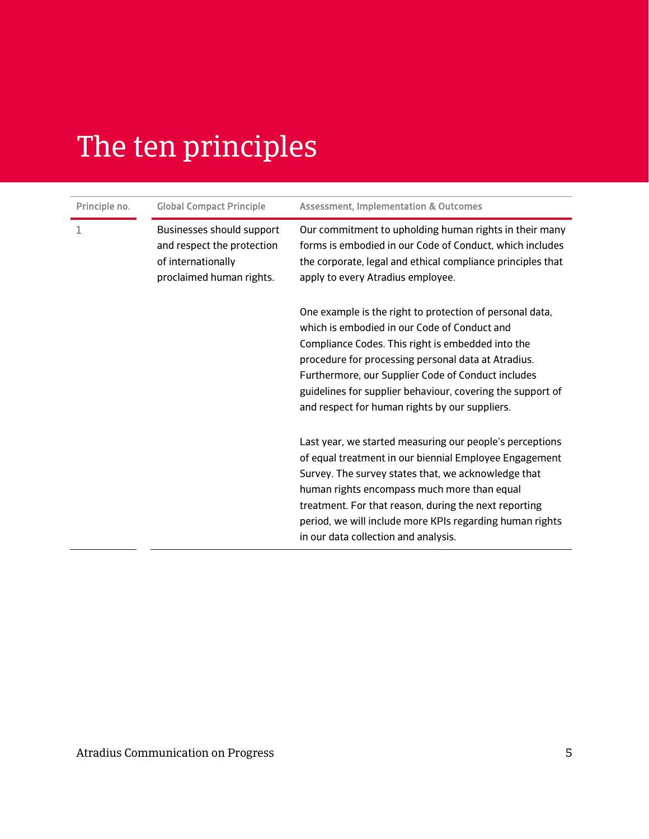# The ten principles

| Principle no. | <b>Global Compact Principle</b>                                                                           | <b>Assessment, Implementation &amp; Outcomes</b>                                                                                                                                                                                                                                                                                                                                           |
|---------------|-----------------------------------------------------------------------------------------------------------|--------------------------------------------------------------------------------------------------------------------------------------------------------------------------------------------------------------------------------------------------------------------------------------------------------------------------------------------------------------------------------------------|
|               | Businesses should support<br>and respect the protection<br>of internationally<br>proclaimed human rights. | Our commitment to upholding human rights in their many<br>forms is embodied in our Code of Conduct, which includes<br>the corporate, legal and ethical compliance principles that<br>apply to every Atradius employee.                                                                                                                                                                     |
|               |                                                                                                           | One example is the right to protection of personal data,<br>which is embodied in our Code of Conduct and<br>Compliance Codes. This right is embedded into the<br>procedure for processing personal data at Atradius.<br>Furthermore, our Supplier Code of Conduct includes<br>guidelines for supplier behaviour, covering the support of<br>and respect for human rights by our suppliers. |
|               |                                                                                                           | Last year, we started measuring our people's perceptions<br>of equal treatment in our biennial Employee Engagement<br>Survey. The survey states that, we acknowledge that<br>human rights encompass much more than equal<br>treatment. For that reason, during the next reporting<br>period, we will include more KPIs regarding human rights<br>in our data collection and analysis.      |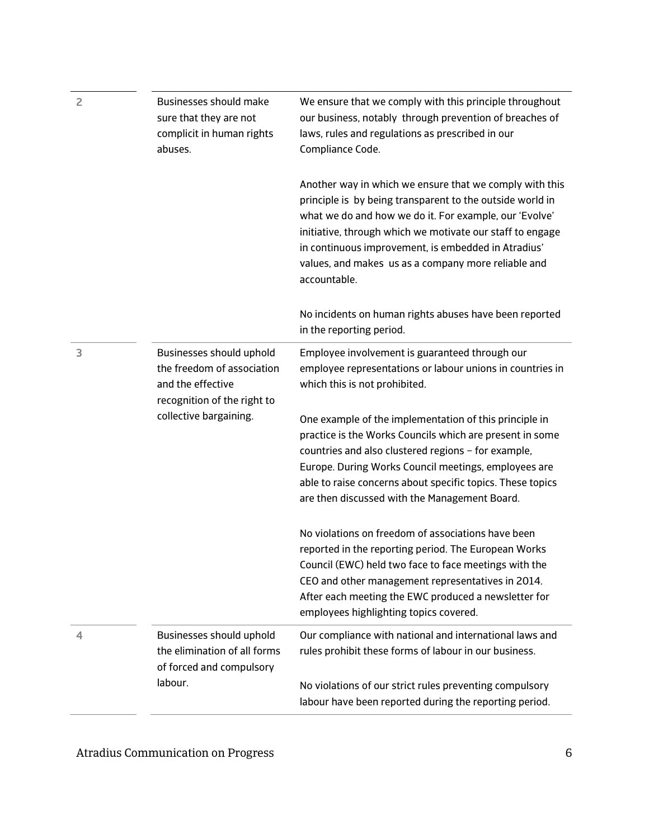| $\overline{c}$ | <b>Businesses should make</b><br>sure that they are not<br>complicit in human rights<br>abuses.                                      | We ensure that we comply with this principle throughout<br>our business, notably through prevention of breaches of<br>laws, rules and regulations as prescribed in our<br>Compliance Code.                                                                                                                                                                                |
|----------------|--------------------------------------------------------------------------------------------------------------------------------------|---------------------------------------------------------------------------------------------------------------------------------------------------------------------------------------------------------------------------------------------------------------------------------------------------------------------------------------------------------------------------|
|                |                                                                                                                                      | Another way in which we ensure that we comply with this<br>principle is by being transparent to the outside world in<br>what we do and how we do it. For example, our 'Evolve'<br>initiative, through which we motivate our staff to engage<br>in continuous improvement, is embedded in Atradius'<br>values, and makes us as a company more reliable and<br>accountable. |
|                |                                                                                                                                      | No incidents on human rights abuses have been reported<br>in the reporting period.                                                                                                                                                                                                                                                                                        |
| 3              | Businesses should uphold<br>the freedom of association<br>and the effective<br>recognition of the right to<br>collective bargaining. | Employee involvement is guaranteed through our<br>employee representations or labour unions in countries in<br>which this is not prohibited.                                                                                                                                                                                                                              |
|                |                                                                                                                                      | One example of the implementation of this principle in<br>practice is the Works Councils which are present in some<br>countries and also clustered regions - for example,<br>Europe. During Works Council meetings, employees are<br>able to raise concerns about specific topics. These topics<br>are then discussed with the Management Board.                          |
|                |                                                                                                                                      | No violations on freedom of associations have been<br>reported in the reporting period. The European Works<br>Council (EWC) held two face to face meetings with the<br>CEO and other management representatives in 2014.<br>After each meeting the EWC produced a newsletter for<br>employees highlighting topics covered.                                                |
| 4              | Businesses should uphold<br>the elimination of all forms<br>of forced and compulsory                                                 | Our compliance with national and international laws and<br>rules prohibit these forms of labour in our business.                                                                                                                                                                                                                                                          |
|                | labour.                                                                                                                              | No violations of our strict rules preventing compulsory<br>labour have been reported during the reporting period.                                                                                                                                                                                                                                                         |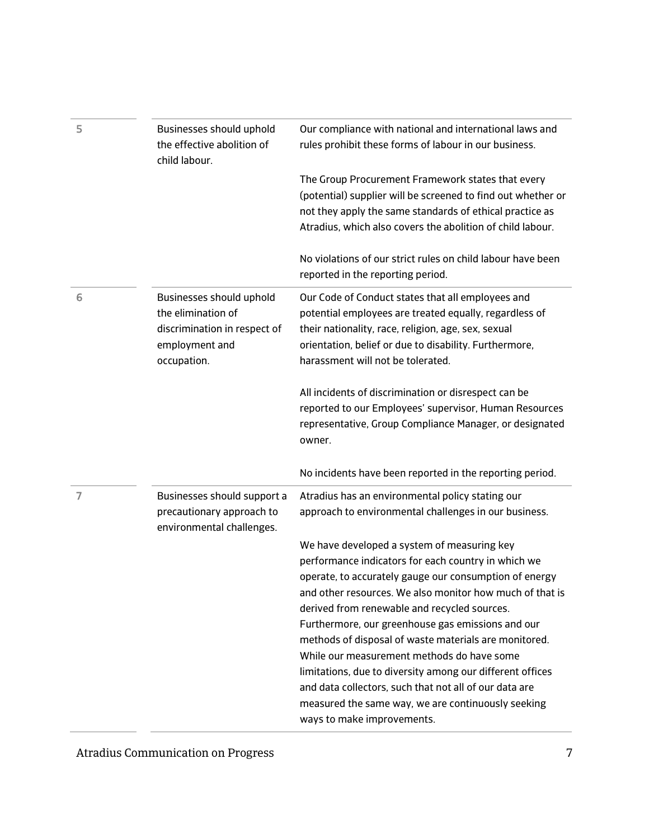| 5 | Businesses should uphold<br>the effective abolition of<br>child labour.                                         | Our compliance with national and international laws and<br>rules prohibit these forms of labour in our business.                                                                                                                                                                                                                                                                                                                                                                                                                                                                                                                                |
|---|-----------------------------------------------------------------------------------------------------------------|-------------------------------------------------------------------------------------------------------------------------------------------------------------------------------------------------------------------------------------------------------------------------------------------------------------------------------------------------------------------------------------------------------------------------------------------------------------------------------------------------------------------------------------------------------------------------------------------------------------------------------------------------|
|   |                                                                                                                 | The Group Procurement Framework states that every<br>(potential) supplier will be screened to find out whether or<br>not they apply the same standards of ethical practice as<br>Atradius, which also covers the abolition of child labour.                                                                                                                                                                                                                                                                                                                                                                                                     |
|   |                                                                                                                 | No violations of our strict rules on child labour have been<br>reported in the reporting period.                                                                                                                                                                                                                                                                                                                                                                                                                                                                                                                                                |
| 6 | Businesses should uphold<br>the elimination of<br>discrimination in respect of<br>employment and<br>occupation. | Our Code of Conduct states that all employees and<br>potential employees are treated equally, regardless of<br>their nationality, race, religion, age, sex, sexual<br>orientation, belief or due to disability. Furthermore,<br>harassment will not be tolerated.                                                                                                                                                                                                                                                                                                                                                                               |
|   |                                                                                                                 | All incidents of discrimination or disrespect can be<br>reported to our Employees' supervisor, Human Resources<br>representative, Group Compliance Manager, or designated<br>owner.                                                                                                                                                                                                                                                                                                                                                                                                                                                             |
|   |                                                                                                                 | No incidents have been reported in the reporting period.                                                                                                                                                                                                                                                                                                                                                                                                                                                                                                                                                                                        |
| 7 | Businesses should support a<br>precautionary approach to<br>environmental challenges.                           | Atradius has an environmental policy stating our<br>approach to environmental challenges in our business.                                                                                                                                                                                                                                                                                                                                                                                                                                                                                                                                       |
|   |                                                                                                                 | We have developed a system of measuring key<br>performance indicators for each country in which we<br>operate, to accurately gauge our consumption of energy<br>and other resources. We also monitor how much of that is<br>derived from renewable and recycled sources.<br>Furthermore, our greenhouse gas emissions and our<br>methods of disposal of waste materials are monitored.<br>While our measurement methods do have some<br>limitations, due to diversity among our different offices<br>and data collectors, such that not all of our data are<br>measured the same way, we are continuously seeking<br>ways to make improvements. |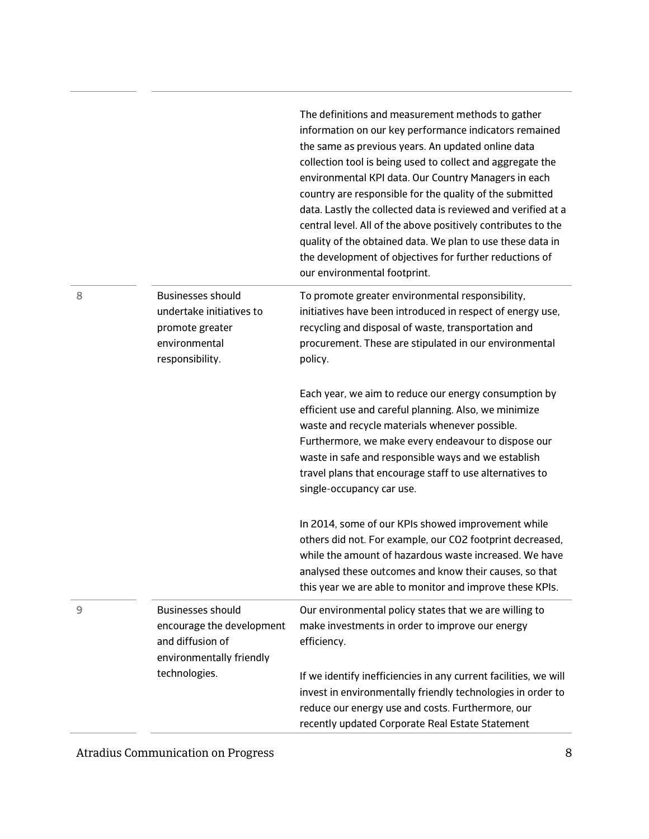|   |                                                                                                             | The definitions and measurement methods to gather<br>information on our key performance indicators remained<br>the same as previous years. An updated online data<br>collection tool is being used to collect and aggregate the<br>environmental KPI data. Our Country Managers in each<br>country are responsible for the quality of the submitted<br>data. Lastly the collected data is reviewed and verified at a<br>central level. All of the above positively contributes to the<br>quality of the obtained data. We plan to use these data in<br>the development of objectives for further reductions of<br>our environmental footprint. |
|---|-------------------------------------------------------------------------------------------------------------|------------------------------------------------------------------------------------------------------------------------------------------------------------------------------------------------------------------------------------------------------------------------------------------------------------------------------------------------------------------------------------------------------------------------------------------------------------------------------------------------------------------------------------------------------------------------------------------------------------------------------------------------|
| 8 | <b>Businesses should</b><br>undertake initiatives to<br>promote greater<br>environmental<br>responsibility. | To promote greater environmental responsibility,<br>initiatives have been introduced in respect of energy use,<br>recycling and disposal of waste, transportation and<br>procurement. These are stipulated in our environmental<br>policy.                                                                                                                                                                                                                                                                                                                                                                                                     |
|   |                                                                                                             | Each year, we aim to reduce our energy consumption by<br>efficient use and careful planning. Also, we minimize<br>waste and recycle materials whenever possible.<br>Furthermore, we make every endeavour to dispose our<br>waste in safe and responsible ways and we establish<br>travel plans that encourage staff to use alternatives to<br>single-occupancy car use.                                                                                                                                                                                                                                                                        |
|   |                                                                                                             | In 2014, some of our KPIs showed improvement while<br>others did not. For example, our CO2 footprint decreased,<br>while the amount of hazardous waste increased. We have<br>analysed these outcomes and know their causes, so that<br>this year we are able to monitor and improve these KPIs.                                                                                                                                                                                                                                                                                                                                                |
| 9 | <b>Businesses should</b><br>encourage the development<br>and diffusion of<br>environmentally friendly       | Our environmental policy states that we are willing to<br>make investments in order to improve our energy<br>efficiency.                                                                                                                                                                                                                                                                                                                                                                                                                                                                                                                       |
|   | technologies.                                                                                               | If we identify inefficiencies in any current facilities, we will<br>invest in environmentally friendly technologies in order to<br>reduce our energy use and costs. Furthermore, our<br>recently updated Corporate Real Estate Statement                                                                                                                                                                                                                                                                                                                                                                                                       |

 $\sim$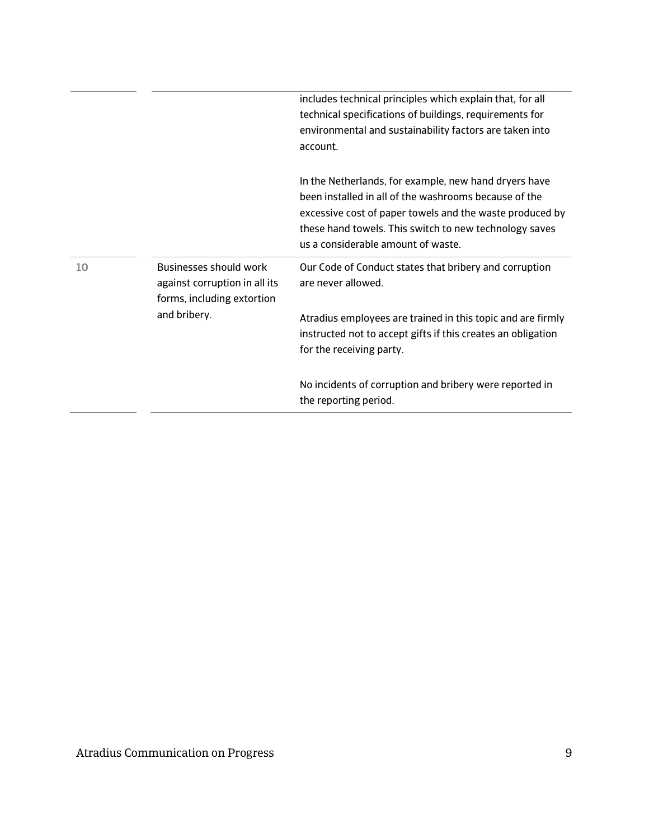|    |                                                                                              | includes technical principles which explain that, for all<br>technical specifications of buildings, requirements for<br>environmental and sustainability factors are taken into<br>account.                                                                                |
|----|----------------------------------------------------------------------------------------------|----------------------------------------------------------------------------------------------------------------------------------------------------------------------------------------------------------------------------------------------------------------------------|
|    |                                                                                              | In the Netherlands, for example, new hand dryers have<br>been installed in all of the washrooms because of the<br>excessive cost of paper towels and the waste produced by<br>these hand towels. This switch to new technology saves<br>us a considerable amount of waste. |
| 10 | <b>Businesses should work</b><br>against corruption in all its<br>forms, including extortion | Our Code of Conduct states that bribery and corruption<br>are never allowed.                                                                                                                                                                                               |
|    | and bribery.                                                                                 | Atradius employees are trained in this topic and are firmly<br>instructed not to accept gifts if this creates an obligation<br>for the receiving party.                                                                                                                    |
|    |                                                                                              | No incidents of corruption and bribery were reported in<br>the reporting period.                                                                                                                                                                                           |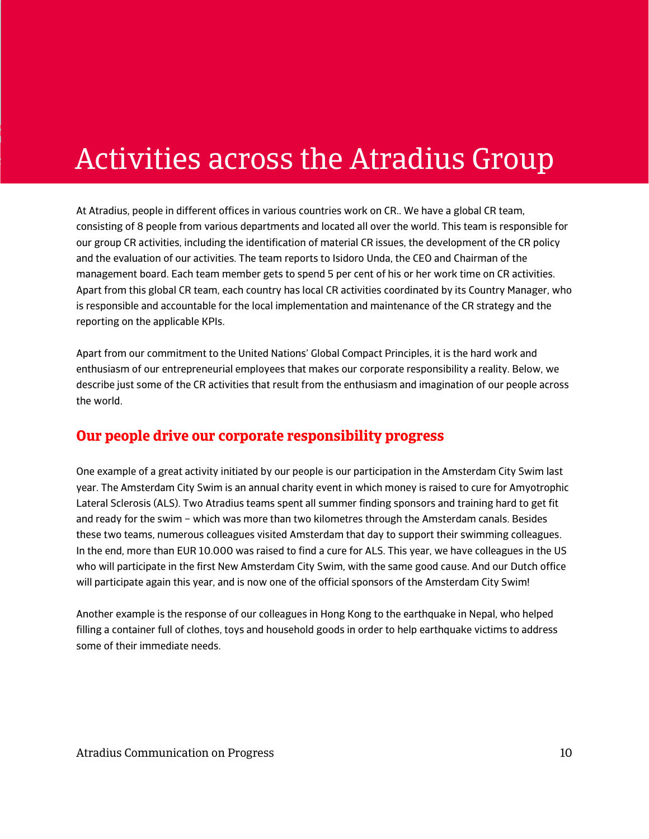# Activities across the Atradius Group

At Atradius, people in different offices in various countries work on CR.. We have a global CR team, consisting of 8 people from various departments and located all over the world. This team is responsible for our group CR activities, including the identification of material CR issues, the development of the CR policy and the evaluation of our activities. The team reports to Isidoro Unda, the CEO and Chairman of the management board. Each team member gets to spend 5 per cent of his or her work time on CR activities. Apart from this global CR team, each country has local CR activities coordinated by its Country Manager, who is responsible and accountable for the local implementation and maintenance of the CR strategy and the reporting on the applicable KPIs.

Apart from our commitment to the United Nations' Global Compact Principles, it is the hard work and enthusiasm of our entrepreneurial employees that makes our corporate responsibility a reality. Below, we describe just some of the CR activities that result from the enthusiasm and imagination of our people across the world.

### **Our people drive our corporate responsibility progress**

One example of a great activity initiated by our people is our participation in the Amsterdam City Swim last year. The Amsterdam City Swim is an annual charity event in which money is raised to cure for Amyotrophic Lateral Sclerosis (ALS). Two Atradius teams spent all summer finding sponsors and training hard to get fit and ready for the swim – which was more than two kilometres through the Amsterdam canals. Besides these two teams, numerous colleagues visited Amsterdam that day to support their swimming colleagues. In the end, more than EUR 10.000 was raised to find a cure for ALS. This year, we have colleagues in the US who will participate in the first New Amsterdam City Swim, with the same good cause. And our Dutch office will participate again this year, and is now one of the official sponsors of the Amsterdam City Swim!

Another example is the response of our colleagues in Hong Kong to the earthquake in Nepal, who helped filling a container full of clothes, toys and household goods in order to help earthquake victims to address some of their immediate needs.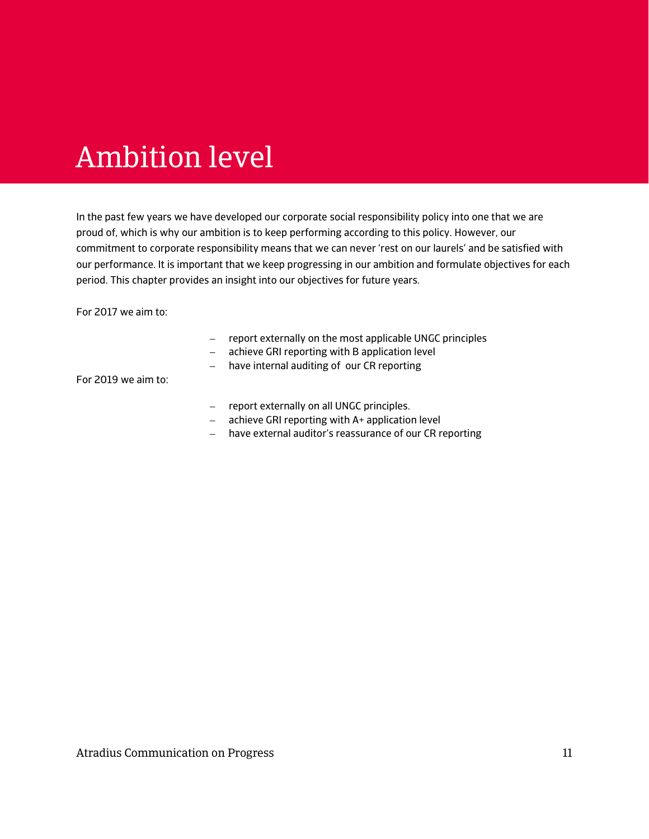# Ambition level

In the past few years we have developed our corporate social responsibility policy into one that we are proud of, which is why our ambition is to keep performing according to this policy. However, our commitment to corporate responsibility means that we can never 'rest on our laurels' and be satisfied with our performance. It is important that we keep progressing in our ambition and formulate objectives for each period. This chapter provides an insight into our objectives for future years.

For 2017 we aim to:

- report externally on the most applicable UNGC principles
- achieve GRI reporting with B application level
- have internal auditing of our CR reporting

For 2019 we aim to:

- report externally on all UNGC principles.
- achieve GRI reporting with A+ application level
- have external auditor's reassurance of our CR reporting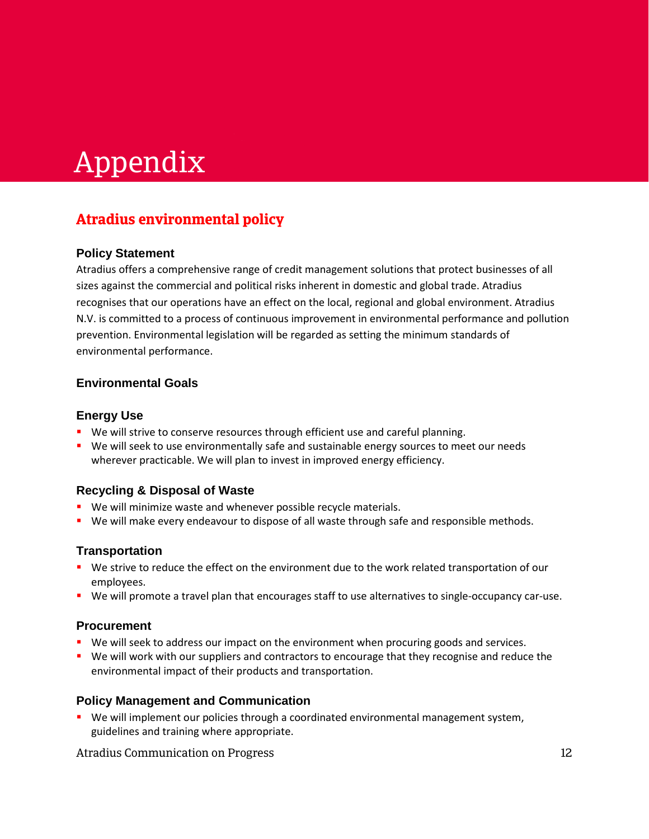# Appendix

## **Atradius environmental policy**

#### **Policy Statement**

Atradius offers a comprehensive range of credit management solutions that protect businesses of all sizes against the commercial and political risks inherent in domestic and global trade. Atradius recognises that our operations have an effect on the local, regional and global environment. Atradius N.V. is committed to a process of continuous improvement in environmental performance and pollution prevention. Environmental legislation will be regarded as setting the minimum standards of environmental performance.

#### **Environmental Goals**

#### **Energy Use**

- We will strive to conserve resources through efficient use and careful planning.
- **We will seek to use environmentally safe and sustainable energy sources to meet our needs** wherever practicable. We will plan to invest in improved energy efficiency.

#### **Recycling & Disposal of Waste**

- **We will minimize waste and whenever possible recycle materials.**
- We will make every endeavour to dispose of all waste through safe and responsible methods.

#### **Transportation**

- We strive to reduce the effect on the environment due to the work related transportation of our employees.
- We will promote a travel plan that encourages staff to use alternatives to single-occupancy car-use.

#### **Procurement**

- We will seek to address our impact on the environment when procuring goods and services.
- We will work with our suppliers and contractors to encourage that they recognise and reduce the environmental impact of their products and transportation.

#### **Policy Management and Communication**

**We will implement our policies through a coordinated environmental management system,** guidelines and training where appropriate.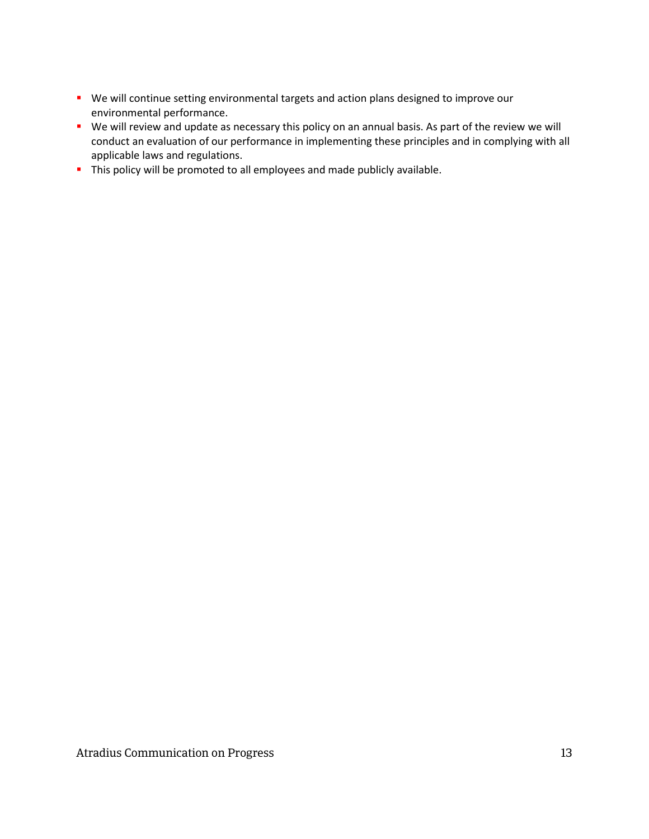- We will continue setting environmental targets and action plans designed to improve our environmental performance.
- We will review and update as necessary this policy on an annual basis. As part of the review we will conduct an evaluation of our performance in implementing these principles and in complying with all applicable laws and regulations.
- This policy will be promoted to all employees and made publicly available.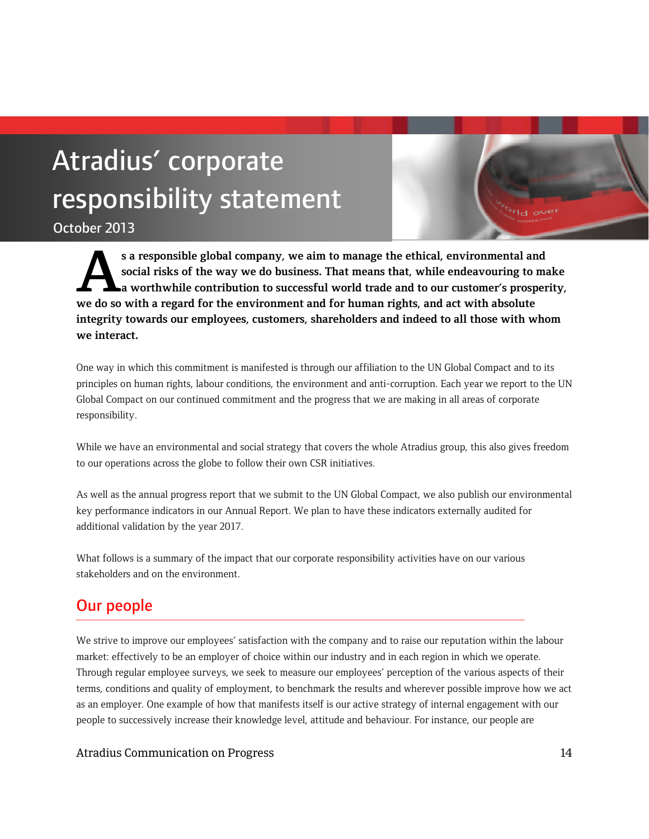# Atradius' corporate responsibility statement

October 2013

**s a responsible global company, we aim to manage the ethical, environmental and social risks of the way we do business. That means that, while endeavouring to make a worthwhile contribution to successful world trade and to our customer's prosperity,**  s a responsible global company, we aim to manage the ethical, environmental an social risks of the way we do business. That means that, while endeavouring to a worthwhile contribution to successful world trade and to our c **integrity towards our employees, customers, shareholders and indeed to all those with whom we interact.**

One way in which this commitment is manifested is through our affiliation to the UN Global Compact and to its principles on human rights, labour conditions, the environment and anti-corruption. Each year we report to the UN Global Compact on our continued commitment and the progress that we are making in all areas of corporate responsibility.

While we have an environmental and social strategy that covers the whole Atradius group, this also gives freedom to our operations across the globe to follow their own CSR initiatives.

As well as the annual progress report that we submit to the UN Global Compact, we also publish our environmental key performance indicators in our Annual Report. We plan to have these indicators externally audited for additional validation by the year 2017.

What follows is a summary of the impact that our corporate responsibility activities have on our various stakeholders and on the environment.

## Our people

We strive to improve our employees' satisfaction with the company and to raise our reputation within the labour market: effectively to be an employer of choice within our industry and in each region in which we operate. Through regular employee surveys, we seek to measure our employees' perception of the various aspects of their terms, conditions and quality of employment, to benchmark the results and wherever possible improve how we act as an employer. One example of how that manifests itself is our active strategy of internal engagement with our people to successively increase their knowledge level, attitude and behaviour. For instance, our people are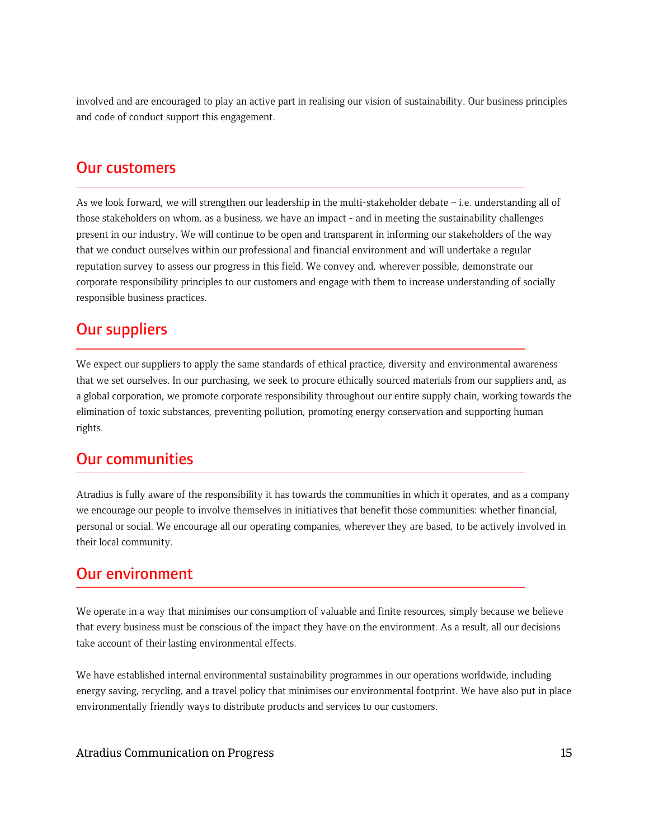involved and are encouraged to play an active part in realising our vision of sustainability. Our business principles and code of conduct support this engagement.

### Our customers

As we look forward, we will strengthen our leadership in the multi-stakeholder debate – i.e. understanding all of those stakeholders on whom, as a business, we have an impact - and in meeting the sustainability challenges present in our industry. We will continue to be open and transparent in informing our stakeholders of the way that we conduct ourselves within our professional and financial environment and will undertake a regular reputation survey to assess our progress in this field. We convey and, wherever possible, demonstrate our corporate responsibility principles to our customers and engage with them to increase understanding of socially responsible business practices.

### Our suppliers

We expect our suppliers to apply the same standards of ethical practice, diversity and environmental awareness that we set ourselves. In our purchasing, we seek to procure ethically sourced materials from our suppliers and, as a global corporation, we promote corporate responsibility throughout our entire supply chain, working towards the elimination of toxic substances, preventing pollution, promoting energy conservation and supporting human rights.

### Our communities

Atradius is fully aware of the responsibility it has towards the communities in which it operates, and as a company we encourage our people to involve themselves in initiatives that benefit those communities: whether financial, personal or social. We encourage all our operating companies, wherever they are based, to be actively involved in their local community.

### Our environment

We operate in a way that minimises our consumption of valuable and finite resources, simply because we believe that every business must be conscious of the impact they have on the environment. As a result, all our decisions take account of their lasting environmental effects.

We have established internal environmental sustainability programmes in our operations worldwide, including energy saving, recycling, and a travel policy that minimises our environmental footprint. We have also put in place environmentally friendly ways to distribute products and services to our customers.